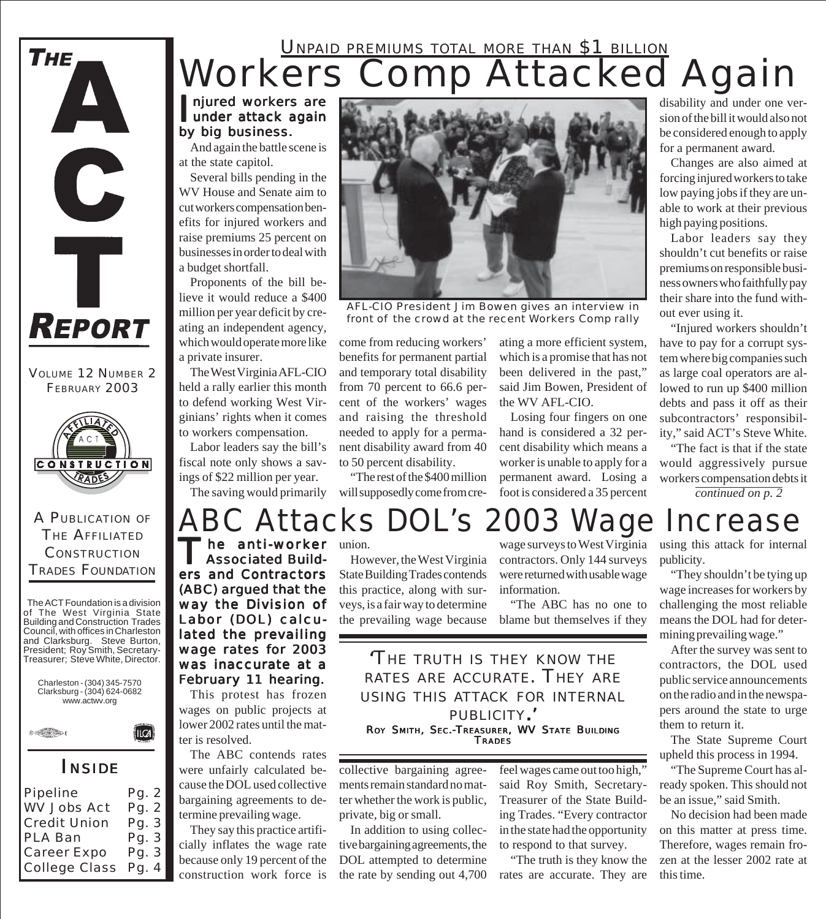### Workers Comp Attacked Again UNPAID PREMIUMS TOTAL MORE THAN \$1 BILLION

#### njured workers are<br>
under attack again njured workers are by big business.

And again the battle scene is at the state capitol.

Several bills pending in the WV House and Senate aim to cut workers compensation benefits for injured workers and raise premiums 25 percent on businesses in order to deal with a budget shortfall.

Proponents of the bill believe it would reduce a \$400 million per year deficit by creating an independent agency, which would operate more like a private insurer.

The West Virginia AFL-CIO held a rally earlier this month to defend working West Virginians' rights when it comes to workers compensation.

Labor leaders say the bill's fiscal note only shows a savings of \$22 million per year.

The saving would primarily

ers and Contractors (ABC) argued that the way the Division of Labor (DOL) calculated the prevailing wage rates for 2003 was inaccurate at a February 11 hearing. This protest has frozen wages on public projects at lower 2002 rates until the mat-

The ABC contends rates were unfairly calculated because the DOL used collective bargaining agreements to determine prevailing wage.

They say this practice artificially inflates the wage rate because only 19 percent of the construction work force is

ter is resolved.



*AFL-CIO President Jim Bowen gives an interview in front of the crowd at the recent Workers Comp rally*

come from reducing workers' benefits for permanent partial and temporary total disability from 70 percent to 66.6 percent of the workers' wages and raising the threshold needed to apply for a permanent disability award from 40 to 50 percent disability.

"The rest of the \$400 million will supposedly come from creating a more efficient system, which is a promise that has not been delivered in the past," said Jim Bowen, President of the WV AFL-CIO.

Losing four fingers on one hand is considered a 32 percent disability which means a worker is unable to apply for a permanent award. Losing a foot is considered a 35 percent

disability and under one version of the bill it would also not be considered enough to apply for a permanent award.

Changes are also aimed at forcing injured workers to take low paying jobs if they are unable to work at their previous high paying positions.

Labor leaders say they shouldn't cut benefits or raise premiums on responsible business owners who faithfully pay their share into the fund without ever using it.

"Injured workers shouldn't have to pay for a corrupt system where big companies such as large coal operators are allowed to run up \$400 million debts and pass it off as their subcontractors' responsibility," said ACT's Steve White.

"The fact is that if the state would aggressively pursue workers compensation debts it *continued on p. 2*

## *ABC Attacks DOL's 2003 Wage Increase*

The anti-worker union.<br>Associated Build-<br>How and Sectional Line **Associated Build-**

However, the West Virginia State Building Trades contends this practice, along with surveys, is a fair way to determine the prevailing wage because

wage surveys to West Virginia contractors. Only 144 surveys were returned with usable wage information.

"The ABC has no one to blame but themselves if they

*'THE TRUTH IS THEY KNOW THE RATES ARE ACCURATE. THEY ARE USING THIS ATTACK FOR INTERNAL PUBLICITY.'* ROY SMITH, SEC.-TREASURER, WV STATE BUILDING **TRADES** 

collective bargaining agreements remain standard no matter whether the work is public, private, big or small.

In addition to using collective bargaining agreements, the DOL attempted to determine the rate by sending out 4,700 feel wages came out too high," said Roy Smith, Secretary-Treasurer of the State Building Trades. "Every contractor in the state had the opportunity to respond to that survey.

"The truth is they know the rates are accurate. They are

using this attack for internal publicity.

"They shouldn't be tying up wage increases for workers by challenging the most reliable means the DOL had for determining prevailing wage."

After the survey was sent to contractors, the DOL used public service announcements on the radio and in the newspapers around the state to urge them to return it.

The State Supreme Court upheld this process in 1994.

"The Supreme Court has already spoken. This should not be an issue," said Smith.

No decision had been made on this matter at press time. Therefore, wages remain frozen at the lesser 2002 rate at this time.

RADES A PUBLICATION OF THE AFFILIATED

**CONSTRUCTION** 

VOLUME 12 NUMBER 2 FEBRUARY 2003

**REPORT** 

C

Ť

THE

**CONSTRUCTION** TRADES FOUNDATION

The ACT Foundation is a division of The West Virginia State Building and Construction Trades Council, with offices in Charleston and Clarksburg. Steve Burton, President; Roy Smith, Secretary-Treasurer; Steve White, Director.



*INSIDE*

| Pg. 2 |
|-------|
| Pg. 2 |
| Pg. 3 |
| Pg. 3 |
| Pg. 3 |
| Pg. 4 |
|       |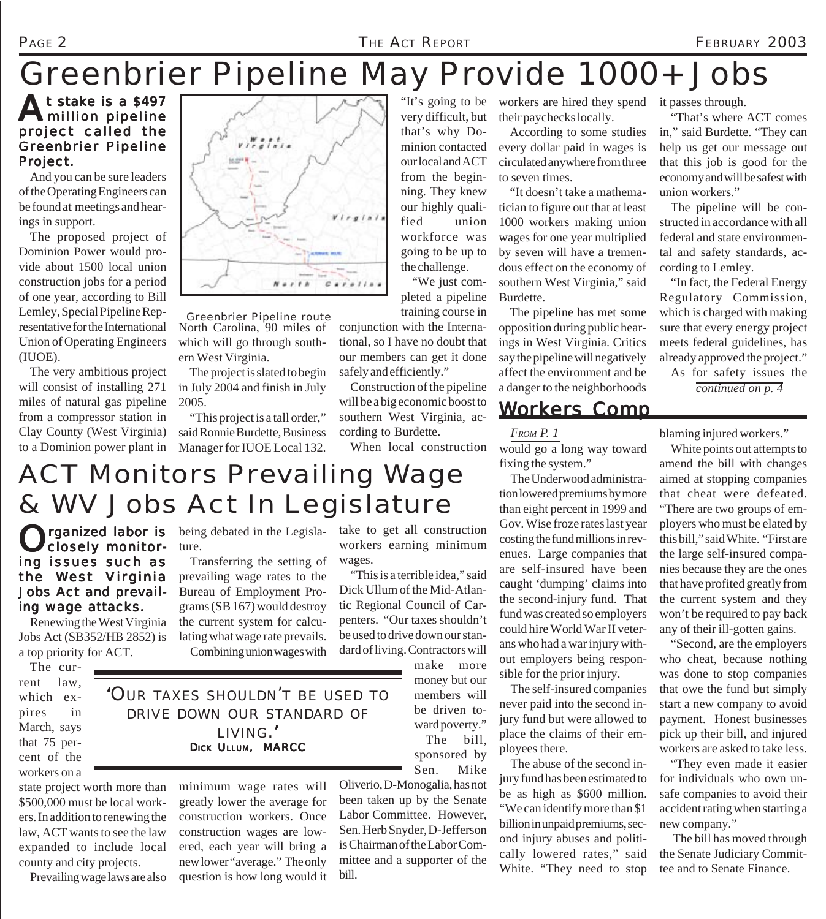#### Page 2 *The Act Report* FEBRUARY 2003

## *Greenbrier Pipeline May Provide 1000+ Jobs*

At stake is a \$497 million pipeline project called the Greenbrier Pipeline Project.

And you can be sure leaders of the Operating Engineers can be found at meetings and hearings in support.

The proposed project of Dominion Power would provide about 1500 local union construction jobs for a period of one year, according to Bill Lemley, Special Pipeline Representative for the International Union of Operating Engineers (IUOE).

The very ambitious project will consist of installing 271 miles of natural gas pipeline from a compressor station in Clay County (West Virginia) to a Dominion power plant in



North Carolina, 90 miles of which will go through southern West Virginia. *Greenbrier Pipeline route*

The project is slated to begin in July 2004 and finish in July 2005.

"This project is a tall order," said Ronnie Burdette, Business Manager for IUOE Local 132.

very difficult, but that's why Dominion contacted our local and ACT from the beginning. They knew our highly qualified union workforce was going to be up to the challenge.

"We just completed a pipeline training course in

conjunction with the International, so I have no doubt that our members can get it done safely and efficiently."

Construction of the pipeline will be a big economic boost to southern West Virginia, according to Burdette.

When local construction

"It's going to be workers are hired they spend it passes through. their paychecks locally.

> According to some studies every dollar paid in wages is circulated anywhere from three to seven times.

"It doesn't take a mathematician to figure out that at least 1000 workers making union wages for one year multiplied by seven will have a tremendous effect on the economy of southern West Virginia," said Burdette.

The pipeline has met some opposition during public hearings in West Virginia. Critics say the pipeline will negatively affect the environment and be a danger to the neighborhoods

### *Workers Comp*

*FROM P. 1*

would go a long way toward fixing the system."

The Underwood administration lowered premiums by more than eight percent in 1999 and Gov. Wise froze rates last year costing the fund millions in revenues. Large companies that are self-insured have been caught 'dumping' claims into the second-injury fund. That fund was created so employers could hire World War II veterans who had a war injury without employers being responsible for the prior injury.

The self-insured companies never paid into the second injury fund but were allowed to place the claims of their employees there.

The abuse of the second injury fund has been estimated to be as high as \$600 million. "We can identify more than \$1 billion in unpaid premiums, second injury abuses and politically lowered rates," said White. "They need to stop

"That's where ACT comes in," said Burdette. "They can help us get our message out that this job is good for the economy and will be safest with union workers."

The pipeline will be constructed in accordance with all federal and state environmental and safety standards, according to Lemley.

"In fact, the Federal Energy Regulatory Commission, which is charged with making sure that every energy project meets federal guidelines, has already approved the project."

As for safety issues the *continued on p. 4*

blaming injured workers."

White points out attempts to amend the bill with changes aimed at stopping companies that cheat were defeated. "There are two groups of employers who must be elated by this bill," said White. "First are the large self-insured companies because they are the ones that have profited greatly from the current system and they won't be required to pay back any of their ill-gotten gains.

"Second, are the employers who cheat, because nothing was done to stop companies that owe the fund but simply start a new company to avoid payment. Honest businesses pick up their bill, and injured workers are asked to take less.

"They even made it easier for individuals who own unsafe companies to avoid their accident rating when starting a new company."

 The bill has moved through the Senate Judiciary Committee and to Senate Finance.

### take to get all construction ACT Monitors Prevailing Wage & WV Jobs Act In Legislature

ture.

Organized labor is being debated in the Legisla-<br>Closely monitor-ture. closely monitoring issues such as the West Virginia Jobs Act and prevailing wage attacks.

Renewing the West Virginia Jobs Act (SB352/HB 2852) is a top priority for ACT.

The current law, which expires in March, says that 75 percent of the workers on a

state project worth more than \$500,000 must be local workers. In addition to renewing the law, ACT wants to see the law expanded to include local county and city projects.

Prevailing wage laws are also

lating what wage rate prevails. Combining union wages with *'OUR TAXES SHOULDN'T BE USED TO*

Transferring the setting of prevailing wage rates to the Bureau of Employment Programs (SB 167) would destroy the current system for calcu-

*LIVING.'* DICK ULLUM, MARCC

minimum wage rates will greatly lower the average for construction workers. Once construction wages are lowered, each year will bring a new lower "average." The only question is how long would it ward poverty."

Oliverio, D-Monogalia, has not been taken up by the Senate Labor Committee. However, Sen. Herb Snyder, D-Jefferson is Chairman of the Labor Committee and a supporter of the bill.

*DRIVE DOWN OUR STANDARD OF*

Sen. Mike

dard of living. Contractors will make more money but our members will be driven to-

> The bill, sponsored by

wages. "This is a terrible idea," said Dick Ullum of the Mid-Atlantic Regional Council of Carpenters. "Our taxes shouldn't be used to drive down our stan-

workers earning minimum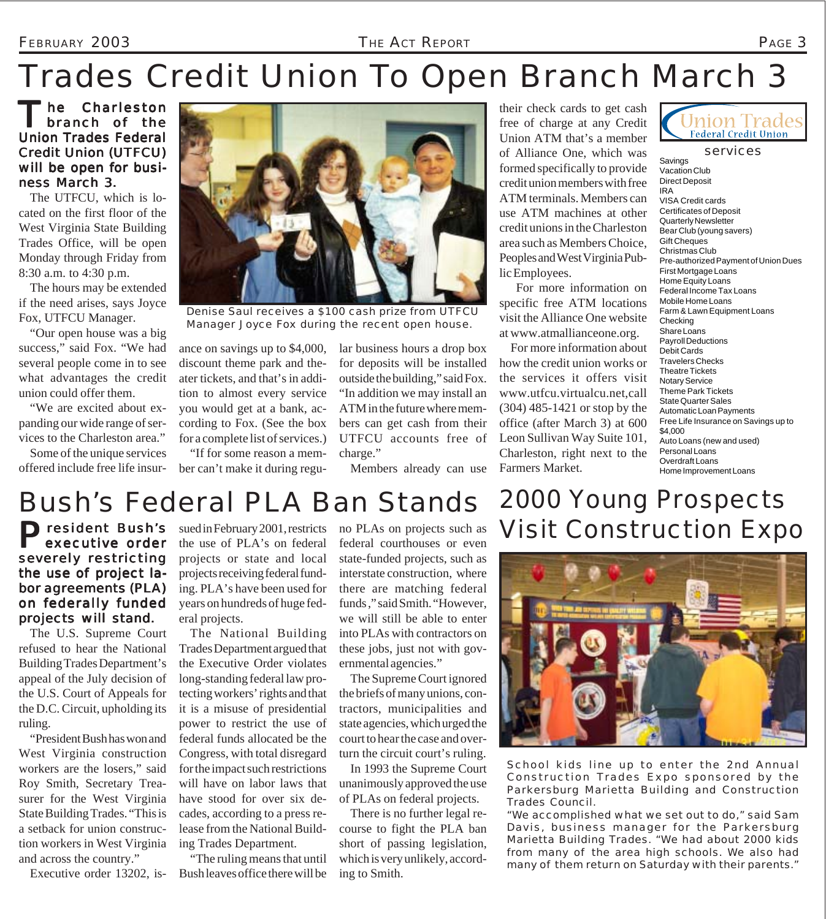#### FEBRUARY 2003 *THE ACT REPORT* PAGE 3

# *Trades Credit Union To Open Branch March 3*

The Charleston branch of the Union Trades Federal Credit Union (UTFCU) will be open for business March 3.

The UTFCU, which is located on the first floor of the West Virginia State Building Trades Office, will be open Monday through Friday from 8:30 a.m. to 4:30 p.m.

The hours may be extended if the need arises, says Joyce Fox, UTFCU Manager.

"Our open house was a big success," said Fox. "We had several people come in to see what advantages the credit union could offer them.

"We are excited about expanding our wide range of services to the Charleston area."

Some of the unique services offered include free life insur-



*Denise Saul receives a \$100 cash prize from UTFCU Manager Joyce Fox during the recent open house.*

ance on savings up to \$4,000, discount theme park and theater tickets, and that's in addition to almost every service you would get at a bank, according to Fox. (See the box for a complete list of services.)

"If for some reason a member can't make it during regular business hours a drop box for deposits will be installed outside the building," said Fox. "In addition we may install an ATM in the future where members can get cash from their UTFCU accounts free of charge."

Members already can use

their check cards to get cash free of charge at any Credit Union ATM that's a member of Alliance One, which was formed specifically to provide credit union members with free ATM terminals. Members can use ATM machines at other credit unions in the Charleston area such as Members Choice, Peoples and West Virginia Public Employees.

 For more information on specific free ATM locations visit the Alliance One website at www.atmallianceone.org.

For more information about how the credit union works or the services it offers visit www.utfcu.virtualcu.net,call (304) 485-1421 or stop by the office (after March 3) at 600 Leon Sullivan Way Suite 101, Charleston, right next to the Farmers Market.



Savings

Vacation Club Direct Deposit IRA VISA Credit cards Certificates of Deposit Quarterly Newsletter Bear Club (young savers) Gift Cheques Christmas Club Pre-authorized Payment of Union Dues First Mortgage Loans Home Equity Loans Federal Income Tax Loans Mobile Home Loans Farm & Lawn Equipment Loans Checking Share Loans Payroll Deductions Debit Cards Travelers Checks Theatre Tickets Notary Service Theme Park Tickets State Quarter Sales Automatic Loan Payments Free Life Insurance on Savings up to \$4,000 Auto Loans (new and used) Personal Loans Overdraft Loans Home Improvement Loans

## Bush's Federal PLA Ban Stands

**President Bush's** executive order severely restricting the use of project labor agreements (PLA) on federally funded projects will stand.

The U.S. Supreme Court refused to hear the National Building Trades Department's appeal of the July decision of the U.S. Court of Appeals for the D.C. Circuit, upholding its ruling.

"President Bush has won and West Virginia construction workers are the losers," said Roy Smith, Secretary Treasurer for the West Virginia State Building Trades. "This is a setback for union construction workers in West Virginia and across the country."

sued in February 2001, restricts the use of PLA's on federal projects or state and local projects receiving federal funding. PLA's have been used for years on hundreds of huge federal projects.

The National Building Trades Department argued that the Executive Order violates long-standing federal law protecting workers' rights and that it is a misuse of presidential power to restrict the use of federal funds allocated be the Congress, with total disregard for the impact such restrictions will have on labor laws that have stood for over six decades, according to a press release from the National Building Trades Department.

Executive order 13202, is-Bush leaves office there will be "The ruling means that until no PLAs on projects such as federal courthouses or even state-funded projects, such as interstate construction, where there are matching federal funds ," said Smith. "However, we will still be able to enter into PLAs with contractors on these jobs, just not with governmental agencies."

The Supreme Court ignored the briefs of many unions, contractors, municipalities and state agencies, which urged the court to hear the case and overturn the circuit court's ruling.

In 1993 the Supreme Court unanimously approved the use of PLAs on federal projects.

There is no further legal recourse to fight the PLA ban short of passing legislation, which is very unlikely, according to Smith.

### *2000 Young Prospects Visit Construction Expo*



*School kids line up to enter the 2nd Annual Construction Trades Expo sponsored by the Parkersburg Marietta Building and Construction Trades Council.*

*"We accomplished what we set out to do," said Sam Davis, business manager for the Parkersburg Marietta Building Trades. "We had about 2000 kids from many of the area high schools. We also had many of them return on Saturday with their parents."*